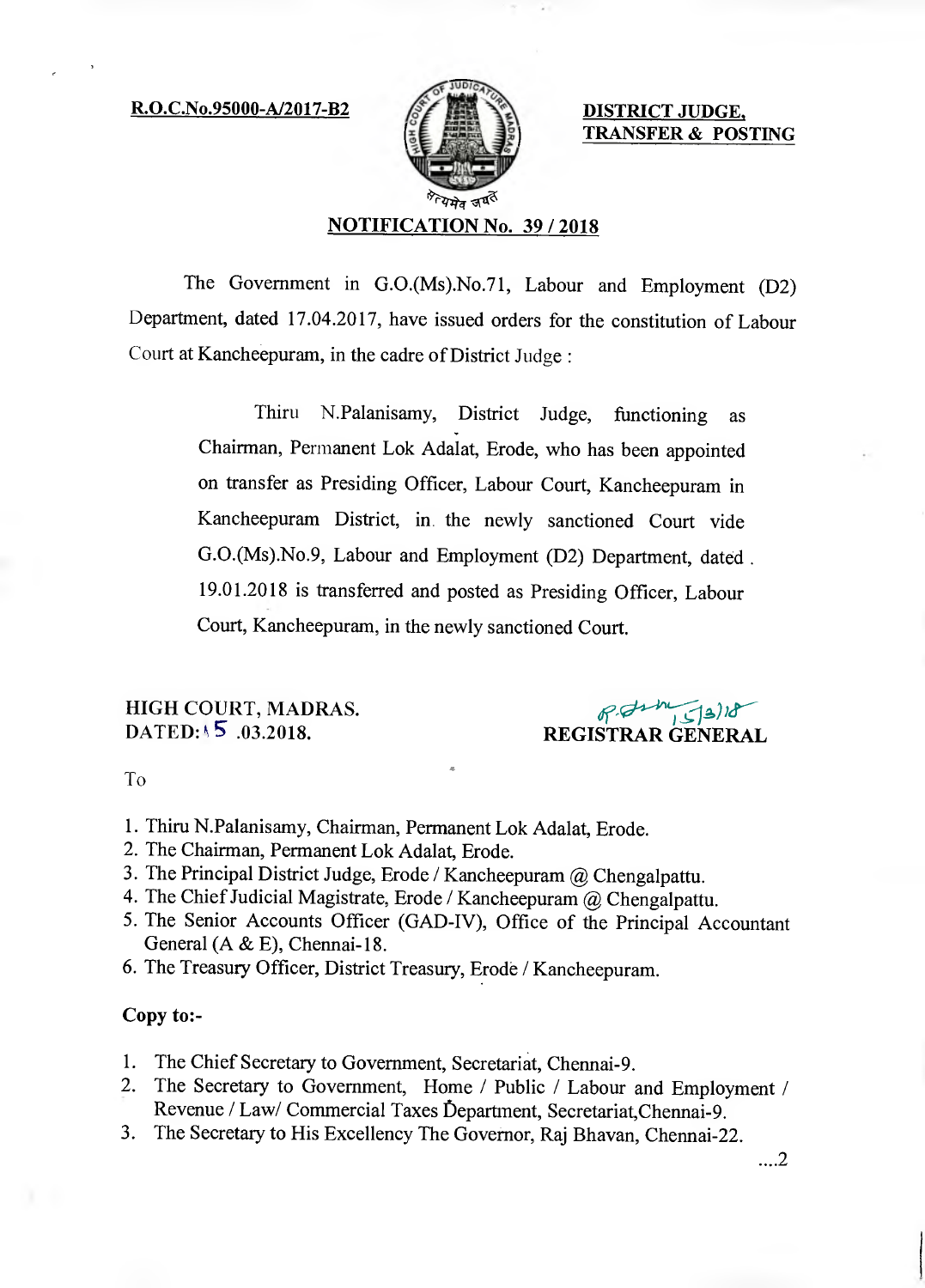# $R.O.C.No.95000-A/2017-B2$   $\mathscr{E}$   $\mathscr{E}$   $\mathscr{E}$  DISTRICT JUDGE,



TRANSFER & POSTING

# NOTIFICATION No. 39 / 2018

The Government in G.0.(Ms).No.71, Labour and Employment (D2) Department, dated 17.04.2017, have issued orders for the constitution of Labour Court at Kancheepuram, in the cadre of District Judge:

> Thiru N.Palanisamy, District Judge, functioning as Chairman, Permanent Lok Adalat, Erode, who has been appointed on transfer as Presiding Officer, Labour Court, Kancheepuram in Kancheepuram District, in the newly sanctioned Court vide G.0.(Ms).No.9, Labour and Employment (D2) Department, dated. 19.01.2018 is transferred and posted as Presiding Officer, Labour Court, Kancheepuram, in the newly sanctioned Court.

HIGH COURT, MADRAS. DATED: 15 .03.2018.

REGISTRAR GENERAL

To

- 1. Thiru N.Palanisamy, Chairman, Permanent Lok Adalat, Erode.
- 2. The Chairman, Permanent Lok Adalat, Erode.
- 3. The Principal District Judge, Erode / Kancheepuram @ Chengalpattu.
- 4. The Chief Judicial Magistrate, Erode / Kancheepuram @ Chengalpattu.
- 5. The Senior Accounts Officer (GAD-IV), Office of the Principal Accountant General (A & E), Chennai-18.
- 6. The Treasury Officer, District Treasury, Erode / Kancheepuram.

### Copy to:-

- 1. The Chief Secretary to Government, Secretariat, Chennai-9.
- 2. The Secretary to Government, Home / Public / Labour and Employment / Revenue / Law/ Commercial Taxes bepartment, Secretariat,Chennai-9.
- 3. The Secretary to His Excellency The Governor, Raj Bhavan, Chennai-22.

...2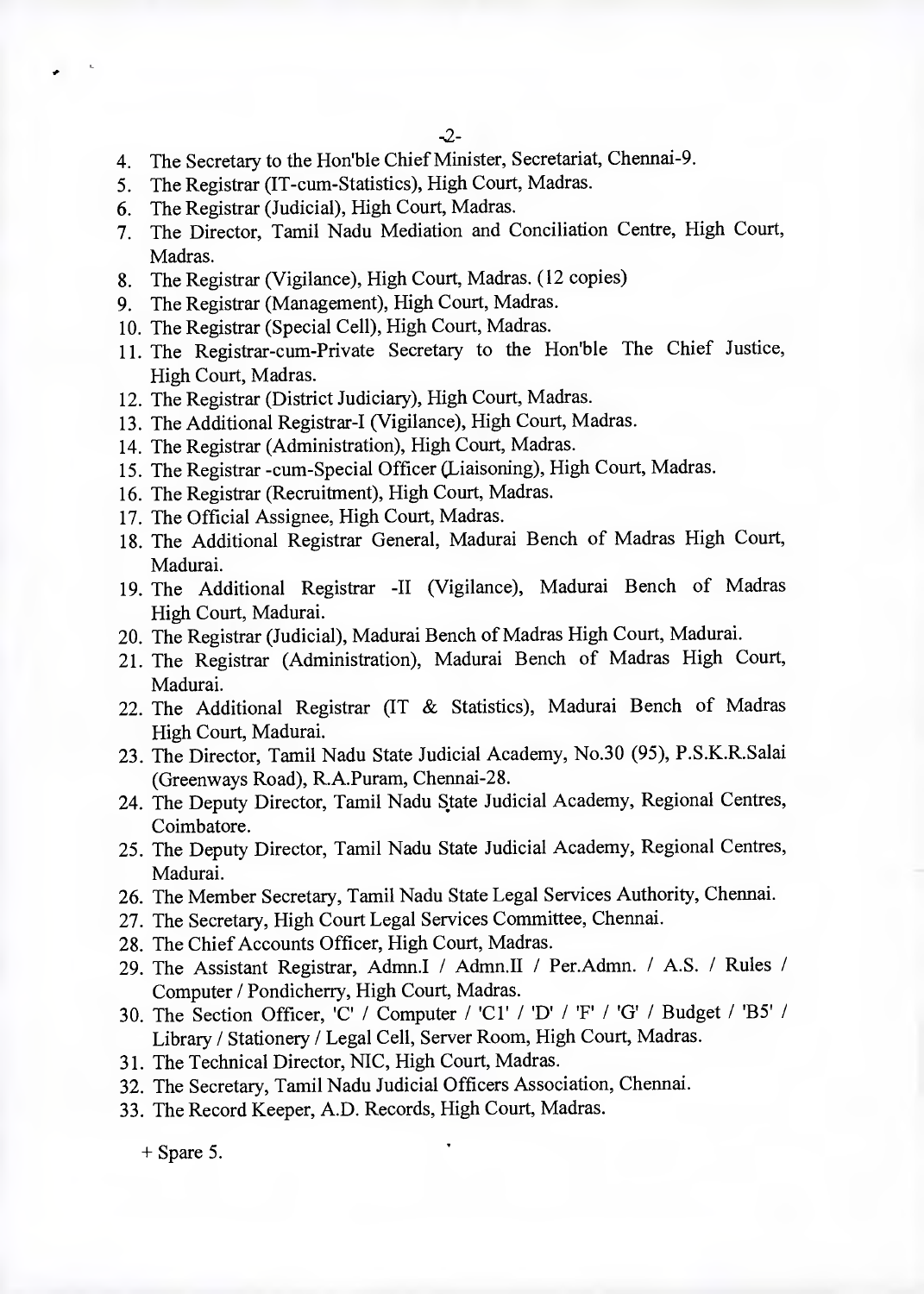- 4. The Secretary to the Hon'ble Chief Minister, Secretariat, Chennai-9.
- 5. The Registrar (IT-cum-Statistics), High Court, Madras.
- 6. The Registrar (Judicial), High Court, Madras.
- 7. The Director, Tamil Nadu Mediation and Conciliation Centre, High Court, Madras.
- 8. The Registrar (Vigilance), High Court, Madras. (12 copies)
- 9. The Registrar (Management), High Court, Madras.
- 10. The Registrar (Special Cell), High Court, Madras.
- 11. The Registrar-cum-Private Secretary to the Hon'ble The Chief Justice, High Court, Madras.
- 12. The Registrar (District Judiciary), High Court, Madras.
- 13. The Additional Registrar-I (Vigilance), High Court, Madras.
- 14. The Registrar (Administration), High Court, Madras.
- 15. The Registrar -cum-Special Officer (Liaisoning), High Court, Madras.
- 16. The Registrar (Recruitment), High Court, Madras.
- 17. The Official Assignee, High Court, Madras.
- 18. The Additional Registrar General, Madurai Bench of Madras High Court, Madurai.
- 19. The Additional Registrar -II (Vigilance), Madurai Bench of Madras High Court, Madurai.
- 20. The Registrar (Judicial), Madurai Bench of Madras High Court, Madurai.
- 21. The Registrar (Administration), Madurai Bench of Madras High Court, Madurai.
- 22. The Additional Registrar (IT & Statistics), Madurai Bench of Madras High Court, Madurai.
- 23. The Director, Tamil Nadu State Judicial Academy, No.30 (95), P.S.K.R.Salai (Greenways Road), R.A.Puram, Chennai-28.
- 24. The Deputy Director, Tamil Nadu State Judicial Academy, Regional Centres, Coimbatore.
- 25. The Deputy Director, Tamil Nadu State Judicial Academy, Regional Centres, Madurai.
- 26. The Member Secretary, Tamil Nadu State Legal Services Authority, Chennai.
- 27. The Secretary, High Court Legal Services Committee, Chennai.
- 28. The Chief Accounts Officer, High Court, Madras.
- 29. The Assistant Registrar, Admn.I / Admn.II / Per.Admn. / A.S. / Rules / Computer / Pondicherry, High Court, Madras.
- 30. The Section Officer, 'C' / Computer / 'Cl' / 'D' / 'F' / 'G' / Budget / 'B5' / Library / Stationery / Legal Cell, Server Room, High Court, Madras.
- 31. The Technical Director, NIC, High Court, Madras.
- 32. The Secretary, Tamil Nadu Judicial Officers Association, Chennai.
- 33. The Record Keeper, A.D. Records, High Court, Madras.

+ Spare 5.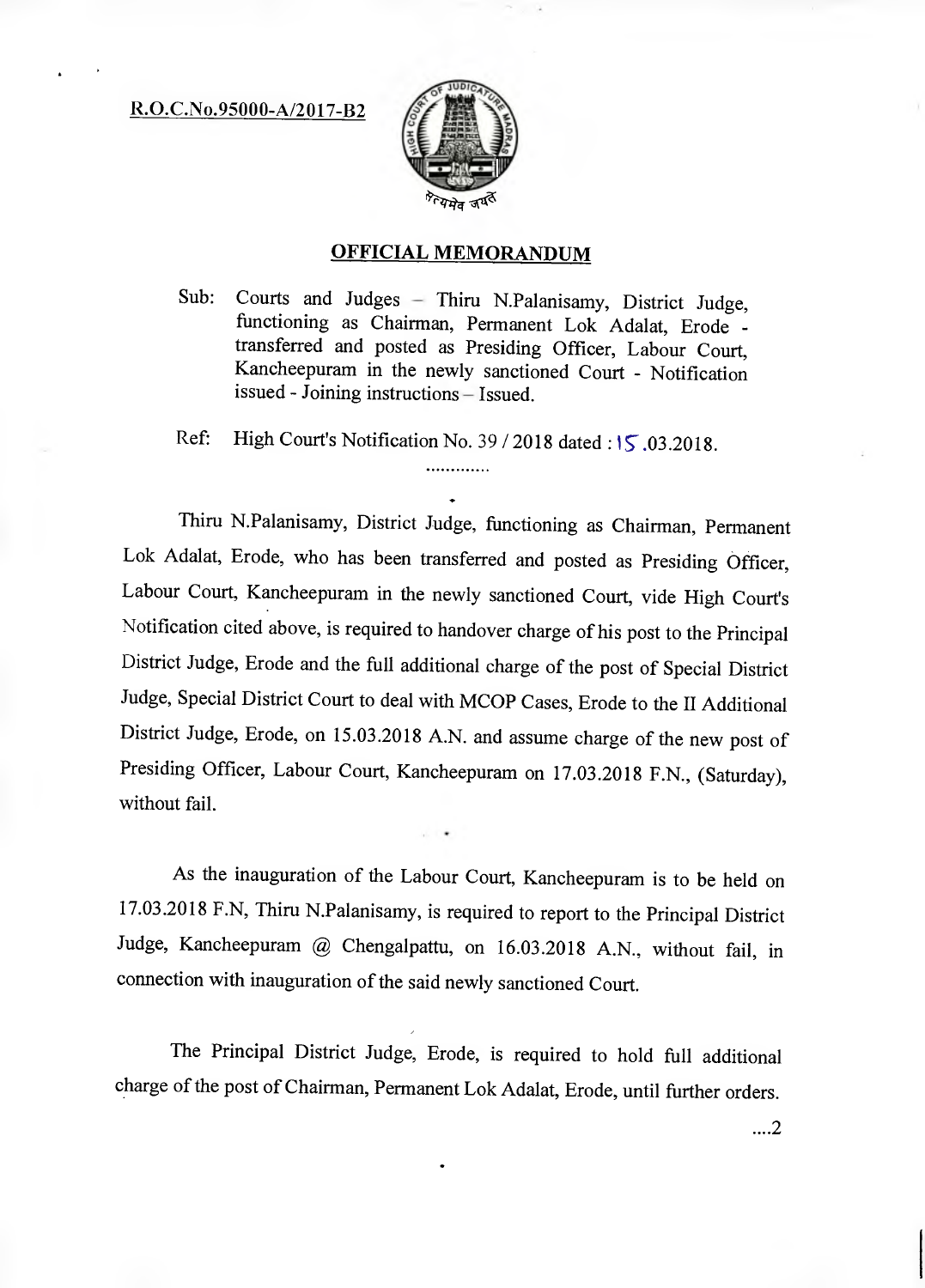R.O.C.No.95000-A/2017-B2



# **OFFICIAL MEMORANDUM**

Sub: Courts and Judges — Thiru N.Palanisamy, District Judge, functioning as Chairman, Permanent Lok Adalat, Erode transferred and posted as Presiding Officer, Labour Court, Kancheepuram in the newly sanctioned Court - Notification issued - Joining instructions — Issued.

Ref: High Court's Notification No. 39 / 2018 dated: 15.03.2018. .............

Thiru N.Palanisamy, District Judge, functioning as Chairman, Permanent Lok Adalat, Erode, who has been transferred and posted as Presiding Officer, Labour Court, Kancheepuram in the newly sanctioned Court, vide High Court's Notification cited above, is required to handover charge of his post to the Principal District Judge, Erode and the full additional charge of the post of Special District Judge, Special District Court to deal with MCOP Cases, Erode to the II Additional District Judge, Erode, on 15.03.2018 A.N. and assume charge of the new post of Presiding Officer, Labour Court, Kancheepuram on 17.03.2018 F.N., (Saturday), without fail.

As the inauguration of the Labour Court, Kancheepuram is to be held on 17.03.2018 F.N, Thiru N.Palanisamy, is required to report to the Principal District Judge, Kancheepuram @ Chengalpattu, on 16.03.2018 A.N., without fail, in connection with inauguration of the said newly sanctioned Court.

The Principal District Judge, Erode, is required to hold full additional charge of the post of Chairman, Permanent Lok Adalat, Erode, until further orders.

....2